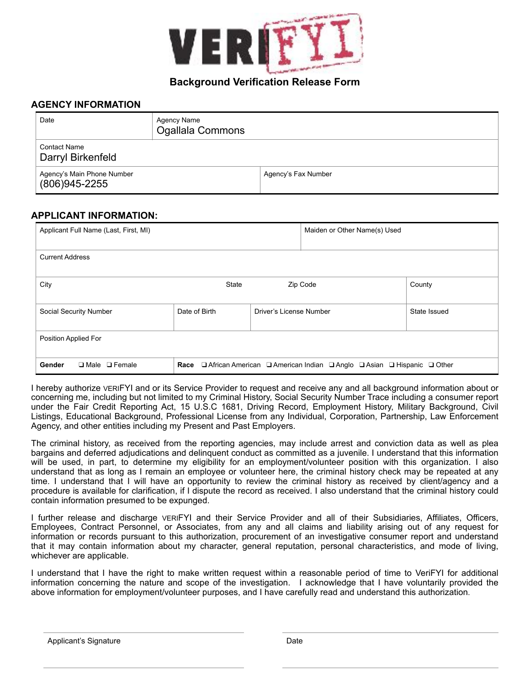

## **Background Verification Release Form**

## **AGENCY INFORMATION**

| Date                                            | Agency Name<br>Ogallala Commons |                     |
|-------------------------------------------------|---------------------------------|---------------------|
| <b>Contact Name</b><br>Darryl Birkenfeld        |                                 |                     |
| Agency's Main Phone Number<br>$(806)945 - 2255$ |                                 | Agency's Fax Number |

## **APPLICANT INFORMATION:**

| Applicant Full Name (Last, First, MI) |                                                                                                               |                         | Maiden or Other Name(s) Used |              |  |  |
|---------------------------------------|---------------------------------------------------------------------------------------------------------------|-------------------------|------------------------------|--------------|--|--|
| <b>Current Address</b>                |                                                                                                               |                         |                              |              |  |  |
| City                                  | <b>State</b>                                                                                                  |                         | Zip Code                     | County       |  |  |
| Social Security Number                | Date of Birth                                                                                                 | Driver's License Number |                              | State Issued |  |  |
| Position Applied For                  |                                                                                                               |                         |                              |              |  |  |
| Gender<br>$\Box$ Male $\Box$ Female   | $\Box$ African American $\Box$ American Indian $\Box$ Anglo $\Box$ Asian $\Box$ Hispanic $\Box$ Other<br>Race |                         |                              |              |  |  |

I hereby authorize VERIFYI and or its Service Provider to request and receive any and all background information about or concerning me, including but not limited to my Criminal History, Social Security Number Trace including a consumer report under the Fair Credit Reporting Act, 15 U.S.C 1681, Driving Record, Employment History, Military Background, Civil Listings, Educational Background, Professional License from any Individual, Corporation, Partnership, Law Enforcement Agency, and other entities including my Present and Past Employers.

The criminal history, as received from the reporting agencies, may include arrest and conviction data as well as plea bargains and deferred adjudications and delinquent conduct as committed as a juvenile. I understand that this information will be used, in part, to determine my eligibility for an employment/volunteer position with this organization. I also understand that as long as I remain an employee or volunteer here, the criminal history check may be repeated at any time. I understand that I will have an opportunity to review the criminal history as received by client/agency and a procedure is available for clarification, if I dispute the record as received. I also understand that the criminal history could contain information presumed to be expunged.

I further release and discharge VERIFYI and their Service Provider and all of their Subsidiaries, Affiliates, Officers, Employees, Contract Personnel, or Associates, from any and all claims and liability arising out of any request for information or records pursuant to this authorization, procurement of an investigative consumer report and understand that it may contain information about my character, general reputation, personal characteristics, and mode of living, whichever are applicable.

I understand that I have the right to make written request within a reasonable period of time to VeriFYI for additional information concerning the nature and scope of the investigation. I acknowledge that I have voluntarily provided the above information for employment/volunteer purposes, and I have carefully read and understand this authorization.

Applicant's Signature Date Date Date